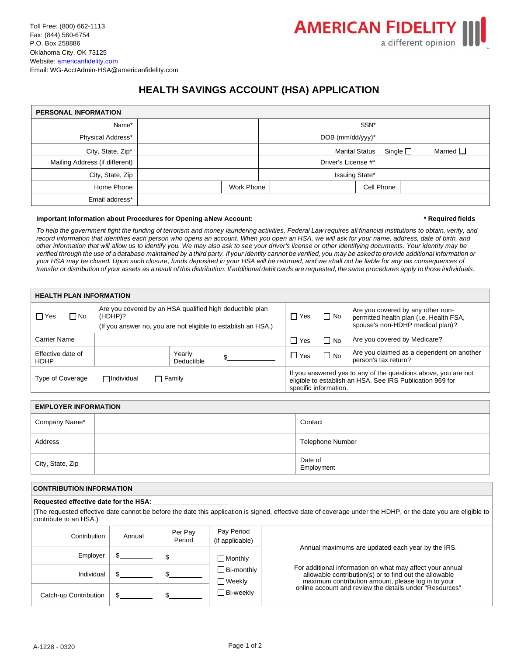# **HEALTH SAVINGS ACCOUNT (HSA) APPLICATION**

| <b>PERSONAL INFORMATION</b>    |  |            |                      |                       |                  |  |                |  |
|--------------------------------|--|------------|----------------------|-----------------------|------------------|--|----------------|--|
| Name*                          |  |            |                      | SSN*                  |                  |  |                |  |
| Physical Address*              |  |            | DOB ( $mm/dd/yyy$ )* |                       |                  |  |                |  |
| City, State, Zip*              |  |            |                      | <b>Marital Status</b> | Single $\square$ |  | Married $\Box$ |  |
| Mailing Address (if different) |  |            | Driver's License #*  |                       |                  |  |                |  |
| City, State, Zip               |  |            |                      | Issuing State*        |                  |  |                |  |
| Home Phone                     |  | Work Phone |                      |                       | Cell Phone       |  |                |  |
| Email address*                 |  |            |                      |                       |                  |  |                |  |

### **Important Information about Procedures for Opening aNew Account: \* Required fields**

To help the government fight the funding of terrorism and money laundering activities, Federal Law requires all financial institutions to obtain, verify, and *record information that identifies each person who opens an account. When you open an HSA, we will ask for your name, address, date of birth, and other information that will allow us to identify you. We may also ask to see your driver's license or other identifying documents. Your identity may be*  verified through the use of a database maintained by a third party. If your identity cannot be verified, you may be asked to provide additional information or *your HSA may be closed. Upon such closure, funds deposited in your HSA will be returned, and we shall not be liable for any tax consequences of*  transfer or distribution of your assets as a result of this distribution. If additional debit cards are requested, the same procedures apply to those individuals.

| <b>HEALTH PLAN INFORMATION</b>                         |                                                                                                                                      |                      |                                                                                                                                                      |                              |           |                                                                                                                  |  |  |
|--------------------------------------------------------|--------------------------------------------------------------------------------------------------------------------------------------|----------------------|------------------------------------------------------------------------------------------------------------------------------------------------------|------------------------------|-----------|------------------------------------------------------------------------------------------------------------------|--|--|
| $\Box$ Yes<br>$\Box$ No                                | Are you covered by an HSA qualified high deductible plan<br>(HDHP)?<br>(If you answer no, you are not eligible to establish an HSA.) |                      |                                                                                                                                                      | $\Box$ Yes                   | $\Box$ No | Are you covered by any other non-<br>permitted health plan (i.e. Health FSA,<br>spouse's non-HDHP medical plan)? |  |  |
| Carrier Name                                           |                                                                                                                                      | ∏ Yes                | $\Box$ No                                                                                                                                            | Are you covered by Medicare? |           |                                                                                                                  |  |  |
| Effective date of<br><b>HDHP</b>                       |                                                                                                                                      | Yearly<br>Deductible |                                                                                                                                                      | $\Box$ Yes                   | $\Box$ No | Are you claimed as a dependent on another<br>person's tax return?                                                |  |  |
| Type of Coverage<br>$\Box$ Individual<br>$\Box$ Family |                                                                                                                                      |                      | If you answered yes to any of the questions above, you are not<br>eligible to establish an HSA. See IRS Publication 969 for<br>specific information. |                              |           |                                                                                                                  |  |  |

| <b>EMPLOYER INFORMATION</b> |                         |  |  |  |  |  |  |
|-----------------------------|-------------------------|--|--|--|--|--|--|
| Company Name*               | Contact                 |  |  |  |  |  |  |
| Address                     | <b>Telephone Number</b> |  |  |  |  |  |  |
| City, State, Zip            | Date of<br>Employment   |  |  |  |  |  |  |

## **CONTRIBUTION INFORMATION**

### **Requested effective date for the HSA**:

(The requested effective date cannot be before the date this application is signed, effective date of coverage under the HDHP, or the date you are eligible to contribute to an HSA.)

| Contribution          | Annual | Per Pay<br>Period | Pay Period<br>(if applicable) |                                                                                                                     |
|-----------------------|--------|-------------------|-------------------------------|---------------------------------------------------------------------------------------------------------------------|
| Employer              |        |                   | Monthly                       | Annual maximums are updated each year by the IRS.                                                                   |
| Individual            |        |                   | Bi-monthly<br>∏Weekly         | For additional information on what may affect your annual<br>allowable contribution(s) or to find out the allowable |
| Catch-up Contribution |        |                   | ∃Bi-weekly                    | maximum contribution amount, please log in to your<br>online account and review the details under "Resources"       |